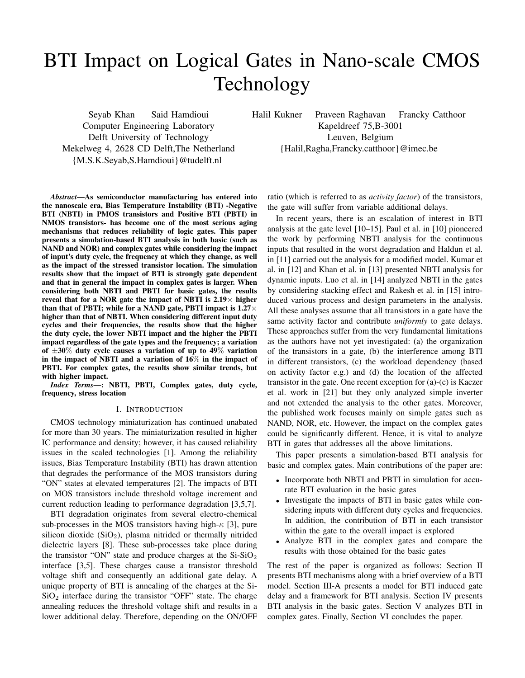# BTI Impact on Logical Gates in Nano-scale CMOS Technology

Seyab Khan Said Hamdioui Computer Engineering Laboratory Delft University of Technology Mekelweg 4, 2628 CD Delft,The Netherland {M.S.K.Seyab,S.Hamdioui}@tudelft.nl

Halil Kukner Praveen Raghavan Francky Catthoor Kapeldreef 75,B-3001 Leuven, Belgium {Halil,Ragha,Francky.catthoor}@imec.be

*Abstract*—As semiconductor manufacturing has entered into the nanoscale era, Bias Temperature Instability (BTI) -Negative BTI (NBTI) in PMOS transistors and Positive BTI (PBTI) in NMOS transistors- has become one of the most serious aging mechanisms that reduces reliability of logic gates. This paper presents a simulation-based BTI analysis in both basic (such as NAND and NOR) and complex gates while considering the impact of input's duty cycle, the frequency at which they change, as well as the impact of the stressed transistor location. The simulation results show that the impact of BTI is strongly gate dependent and that in general the impact in complex gates is larger. When considering both NBTI and PBTI for basic gates, the results reveal that for a NOR gate the impact of NBTI is  $2.19\times$  higher than that of PBTI; while for a NAND gate, PBTI impact is  $1.27\times$ higher than that of NBTI. When considering different input duty cycles and their frequencies, the results show that the higher the duty cycle, the lower NBTI impact and the higher the PBTI impact regardless of the gate types and the frequency; a variation of  $\pm 30\%$  duty cycle causes a variation of up to 49% variation in the impact of NBTI and a variation of 16% in the impact of PBTI. For complex gates, the results show similar trends, but with higher impact.

*Index Terms*—: NBTI, PBTI, Complex gates, duty cycle, frequency, stress location

# I. INTRODUCTION

CMOS technology miniaturization has continued unabated for more than 30 years. The miniaturization resulted in higher IC performance and density; however, it has caused reliability issues in the scaled technologies [1]. Among the reliability issues, Bias Temperature Instability (BTI) has drawn attention that degrades the performance of the MOS transistors during "ON" states at elevated temperatures [2]. The impacts of BTI on MOS transistors include threshold voltage increment and current reduction leading to performance degradation [3,5,7].

BTI degradation originates from several electro-chemical sub-processes in the MOS transistors having high- $\kappa$  [3], pure silicon dioxide  $(SiO<sub>2</sub>)$ , plasma nitrided or thermally nitrided dielectric layers [8]. These sub-processes take place during the transistor "ON" state and produce charges at the  $Si-SiO<sub>2</sub>$ interface [3,5]. These charges cause a transistor threshold voltage shift and consequently an additional gate delay. A unique property of BTI is annealing of the charges at the Si- $SiO<sub>2</sub>$  interface during the transistor "OFF" state. The charge annealing reduces the threshold voltage shift and results in a lower additional delay. Therefore, depending on the ON/OFF ratio (which is referred to as *activity factor*) of the transistors, the gate will suffer from variable additional delays.

In recent years, there is an escalation of interest in BTI analysis at the gate level [10–15]. Paul et al. in [10] pioneered the work by performing NBTI analysis for the continuous inputs that resulted in the worst degradation and Haldun et al. in [11] carried out the analysis for a modified model. Kumar et al. in [12] and Khan et al. in [13] presented NBTI analysis for dynamic inputs. Luo et al. in [14] analyzed NBTI in the gates by considering stacking effect and Rakesh et al. in [15] introduced various process and design parameters in the analysis. All these analyses assume that all transistors in a gate have the same activity factor and contribute *uniformly* to gate delays. These approaches suffer from the very fundamental limitations as the authors have not yet investigated: (a) the organization of the transistors in a gate, (b) the interference among BTI in different transistors, (c) the workload dependency (based on activity factor e.g.) and (d) the location of the affected transistor in the gate. One recent exception for (a)-(c) is Kaczer et al. work in [21] but they only analyzed simple inverter and not extended the analysis to the other gates. Moreover, the published work focuses mainly on simple gates such as NAND, NOR, etc. However, the impact on the complex gates could be significantly different. Hence, it is vital to analyze BTI in gates that addresses all the above limitations.

This paper presents a simulation-based BTI analysis for basic and complex gates. Main contributions of the paper are:

- Incorporate both NBTI and PBTI in simulation for accurate BTI evaluation in the basic gates
- Investigate the impacts of BTI in basic gates while considering inputs with different duty cycles and frequencies. In addition, the contribution of BTI in each transistor within the gate to the overall impact is explored
- Analyze BTI in the complex gates and compare the results with those obtained for the basic gates

The rest of the paper is organized as follows: Section II presents BTI mechanisms along with a brief overview of a BTI model. Section III-A presents a model for BTI induced gate delay and a framework for BTI analysis. Section IV presents BTI analysis in the basic gates. Section V analyzes BTI in complex gates. Finally, Section VI concludes the paper.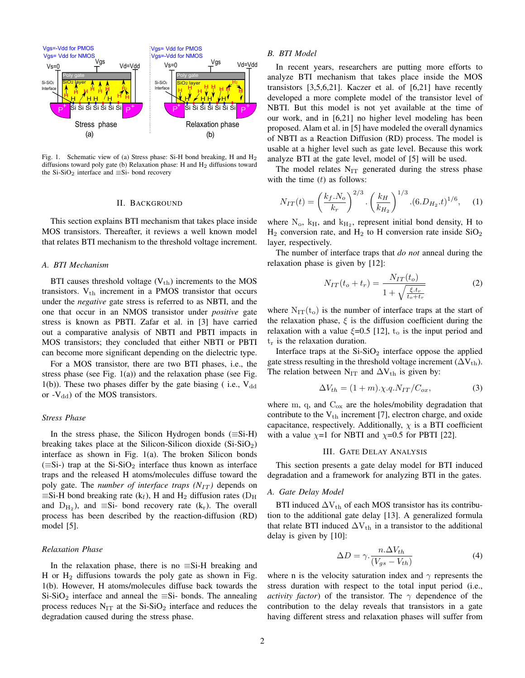

Fig. 1. Schematic view of (a) Stress phase: Si-H bond breaking, H and H2 diffusions toward poly gate (b) Relaxation phase: H and  $H_2$  diffusions toward the Si-SiO<sub>2</sub> interface and  $\equiv$ Si- bond recovery

#### II. BACKGROUND

This section explains BTI mechanism that takes place inside MOS transistors. Thereafter, it reviews a well known model that relates BTI mechanism to the threshold voltage increment.

## *A. BTI Mechanism*

BTI causes threshold voltage  $(V_{th})$  increments to the MOS transistors.  $V_{th}$  increment in a PMOS transistor that occurs under the *negative* gate stress is referred to as NBTI, and the one that occur in an NMOS transistor under *positive* gate stress is known as PBTI. Zafar et al. in [3] have carried out a comparative analysis of NBTI and PBTI impacts in MOS transistors; they concluded that either NBTI or PBTI can become more significant depending on the dielectric type.

For a MOS transistor, there are two BTI phases, i.e., the stress phase (see Fig. 1(a)) and the relaxation phase (see Fig. 1(b)). These two phases differ by the gate biasing ( i.e.,  $V_{dd}$ or  $-V_{\rm dd}$ ) of the MOS transistors.

# *Stress Phase*

In the stress phase, the Silicon Hydrogen bonds ( $\equiv$ Si-H) breaking takes place at the Silicon-Silicon dioxide  $(Si-SiO<sub>2</sub>)$ interface as shown in Fig. 1(a). The broken Silicon bonds  $(\equiv$ Si-) trap at the Si-SiO<sub>2</sub> interface thus known as interface traps and the released H atoms/molecules diffuse toward the poly gate. The *number of interface traps*  $(N_{IT})$  depends on  $\equiv$ Si-H bond breaking rate (k<sub>f</sub>), H and H<sub>2</sub> diffusion rates (D<sub>H</sub> and  $D_{H_2}$ ), and  $\equiv$ Si- bond recovery rate (k<sub>r</sub>). The overall process has been described by the reaction-diffusion (RD) model [5].

# *Relaxation Phase*

In the relaxation phase, there is no  $\equiv$ Si-H breaking and H or  $H_2$  diffusions towards the poly gate as shown in Fig. 1(b). However, H atoms/molecules diffuse back towards the Si-SiO<sub>2</sub> interface and anneal the  $\equiv$ Si- bonds. The annealing process reduces  $N_{IT}$  at the Si-SiO<sub>2</sub> interface and reduces the degradation caused during the stress phase.

## *B. BTI Model*

In recent years, researchers are putting more efforts to analyze BTI mechanism that takes place inside the MOS transistors [3,5,6,21]. Kaczer et al. of [6,21] have recently developed a more complete model of the transistor level of NBTI. But this model is not yet available at the time of our work, and in [6,21] no higher level modeling has been proposed. Alam et al. in [5] have modeled the overall dynamics of NBTI as a Reaction Diffusion (RD) process. The model is usable at a higher level such as gate level. Because this work analyze BTI at the gate level, model of [5] will be used.

The model relates  $N_{IT}$  generated during the stress phase with the time  $(t)$  as follows:

$$
N_{IT}(t) = \left(\frac{k_f.N_o}{k_r}\right)^{2/3} \cdot \left(\frac{k_H}{k_{H_2}}\right)^{1/3} \cdot (6.D_{H_2}.t)^{1/6},\tag{1}
$$

where  $N_o$ ,  $k_H$ , and  $k_{H_2}$ , represent initial bond density, H to  $H_2$  conversion rate, and  $H_2$  to H conversion rate inside  $SiO_2$ layer, respectively.

The number of interface traps that *do not* anneal during the relaxation phase is given by [12]:

$$
N_{IT}(t_o + t_r) = \frac{N_{IT}(t_o)}{1 + \sqrt{\frac{\xi \cdot t_r}{t_o + t_r}}} \tag{2}
$$

where  $N_{IT}(t_0)$  is the number of interface traps at the start of the relaxation phase,  $\xi$  is the diffusion coefficient during the relaxation with a value  $\xi$ =0.5 [12],  $t_0$  is the input period and  $t_r$  is the relaxation duration.

Interface traps at the  $Si-SiO<sub>2</sub>$  interface oppose the applied gate stress resulting in the threshold voltage increment ( $\Delta V_{th}$ ). The relation between N<sub>IT</sub> and  $\Delta V_{th}$  is given by:

$$
\Delta V_{th} = (1+m)\cdot \chi \cdot q \cdot N_{IT}/C_{ox},\tag{3}
$$

where m, q, and  $C_{ox}$  are the holes/mobility degradation that contribute to the  $V_{th}$  increment [7], electron charge, and oxide capacitance, respectively. Additionally,  $\chi$  is a BTI coefficient with a value  $\chi$ =1 for NBTI and  $\chi$ =0.5 for PBTI [22].

## III. GATE DELAY ANALYSIS

This section presents a gate delay model for BTI induced degradation and a framework for analyzing BTI in the gates.

## *A. Gate Delay Model*

BTI induced  $\Delta V_{th}$  of each MOS transistor has its contribution to the additional gate delay [13]. A generalized formula that relate BTI induced  $\Delta V_{th}$  in a transistor to the additional delay is given by [10]:

$$
\Delta D = \gamma \cdot \frac{n \cdot \Delta V_{th}}{(V_{gs} - V_{th})}
$$
\n(4)

where n is the velocity saturation index and  $\gamma$  represents the stress duration with respect to the total input period (i.e., *activity factor*) of the transistor. The  $\gamma$  dependence of the contribution to the delay reveals that transistors in a gate having different stress and relaxation phases will suffer from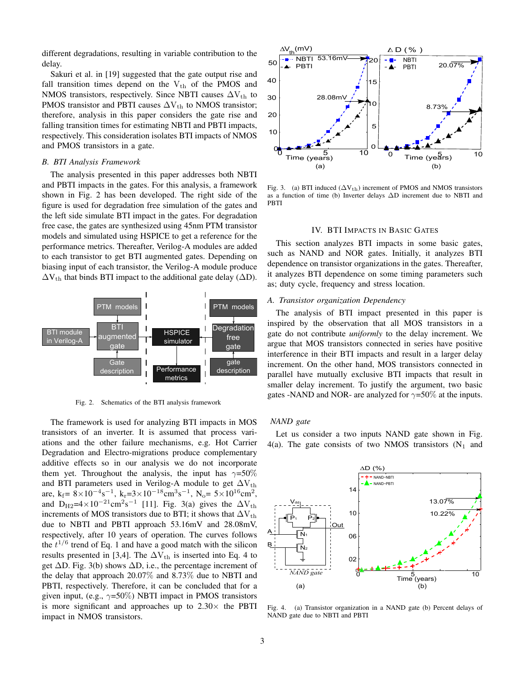different degradations, resulting in variable contribution to the delay.

Sakuri et al. in [19] suggested that the gate output rise and fall transition times depend on the  $V_{th}$  of the PMOS and NMOS transistors, respectively. Since NBTI causes  $\Delta V_{th}$  to PMOS transistor and PBTI causes  $\Delta V_{th}$  to NMOS transistor; therefore, analysis in this paper considers the gate rise and falling transition times for estimating NBTI and PBTI impacts, respectively. This consideration isolates BTI impacts of NMOS and PMOS transistors in a gate.

### *B. BTI Analysis Framework*

The analysis presented in this paper addresses both NBTI and PBTI impacts in the gates. For this analysis, a framework shown in Fig. 2 has been developed. The right side of the figure is used for degradation free simulation of the gates and the left side simulate BTI impact in the gates. For degradation free case, the gates are synthesized using 45nm PTM transistor models and simulated using HSPICE to get a reference for the performance metrics. Thereafter, Verilog-A modules are added to each transistor to get BTI augmented gates. Depending on biasing input of each transistor, the Verilog-A module produce  $\Delta V_{th}$  that binds BTI impact to the additional gate delay ( $\Delta D$ ).



Fig. 2. Schematics of the BTI analysis framework

The framework is used for analyzing BTI impacts in MOS transistors of an inverter. It is assumed that process variations and the other failure mechanisms, e.g. Hot Carrier Degradation and Electro-migrations produce complementary additive effects so in our analysis we do not incorporate them yet. Throughout the analysis, the input has  $\gamma = 50\%$ and BTI parameters used in Verilog-A module to get  $\Delta V_{th}$ are, k<sub>f</sub> =  $8 \times 10^{-4}$ s<sup>-1</sup>, k<sub>r</sub> =  $3 \times 10^{-18}$ cm<sup>3</sup>s<sup>-1</sup>, N<sub>o</sub> =  $5 \times 10^{16}$ cm<sup>2</sup>, and D<sub>H2</sub>=4×10<sup>-21</sup>cm<sup>2</sup>s<sup>-1</sup> [11]. Fig. 3(a) gives the  $\Delta V_{th}$ increments of MOS transistors due to BTI; it shows that  $\Delta V_{th}$ due to NBTI and PBTI approach 53.16mV and 28.08mV, respectively, after 10 years of operation. The curves follows the  $t^{1/6}$  trend of Eq. 1 and have a good match with the silicon results presented in [3,4]. The  $\Delta V_{th}$  is inserted into Eq. 4 to get  $\Delta$ D. Fig. 3(b) shows  $\Delta$ D, i.e., the percentage increment of the delay that approach 20.07% and 8.73% due to NBTI and PBTI, respectively. Therefore, it can be concluded that for a given input, (e.g.,  $\gamma$ =50%) NBTI impact in PMOS transistors is more significant and approaches up to  $2.30\times$  the PBTI impact in NMOS transistors.



Fig. 3. (a) BTI induced  $(\Delta V_{th})$  increment of PMOS and NMOS transistors as a function of time (b) Inverter delays ∆D increment due to NBTI and PBTI

## IV. BTI IMPACTS IN BASIC GATES

This section analyzes BTI impacts in some basic gates, such as NAND and NOR gates. Initially, it analyzes BTI dependence on transistor organizations in the gates. Thereafter, it analyzes BTI dependence on some timing parameters such as; duty cycle, frequency and stress location.

# *A. Transistor organization Dependency*

The analysis of BTI impact presented in this paper is inspired by the observation that all MOS transistors in a gate do not contribute *uniformly* to the delay increment. We argue that MOS transistors connected in series have positive interference in their BTI impacts and result in a larger delay increment. On the other hand, MOS transistors connected in parallel have mutually exclusive BTI impacts that result in smaller delay increment. To justify the argument, two basic gates -NAND and NOR- are analyzed for  $\gamma$ =50% at the inputs.

#### *NAND gate*

Let us consider a two inputs NAND gate shown in Fig. 4(a). The gate consists of two NMOS transistors  $(N_1 \text{ and }$ 



Fig. 4. (a) Transistor organization in a NAND gate (b) Percent delays of NAND gate due to NBTI and PBTI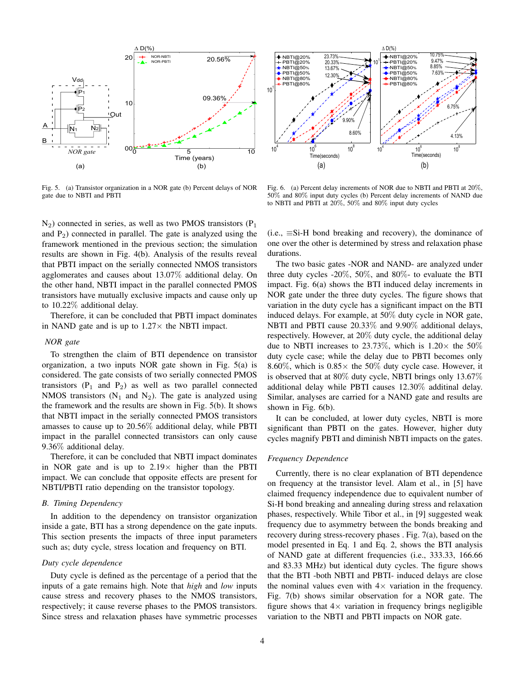

Fig. 5. (a) Transistor organization in a NOR gate (b) Percent delays of NOR gate due to NBTI and PBTI

 $N_2$ ) connected in series, as well as two PMOS transistors ( $P_1$ ) and  $P_2$ ) connected in parallel. The gate is analyzed using the framework mentioned in the previous section; the simulation results are shown in Fig. 4(b). Analysis of the results reveal that PBTI impact on the serially connected NMOS transistors agglomerates and causes about 13.07% additional delay. On the other hand, NBTI impact in the parallel connected PMOS transistors have mutually exclusive impacts and cause only up to 10.22% additional delay.

Therefore, it can be concluded that PBTI impact dominates in NAND gate and is up to  $1.27\times$  the NBTI impact.

## *NOR gate*

To strengthen the claim of BTI dependence on transistor organization, a two inputs NOR gate shown in Fig. 5(a) is considered. The gate consists of two serially connected PMOS transistors  $(P_1$  and  $P_2$ ) as well as two parallel connected NMOS transistors  $(N_1$  and  $N_2)$ . The gate is analyzed using the framework and the results are shown in Fig. 5(b). It shows that NBTI impact in the serially connected PMOS transistors amasses to cause up to 20.56% additional delay, while PBTI impact in the parallel connected transistors can only cause 9.36% additional delay.

Therefore, it can be concluded that NBTI impact dominates in NOR gate and is up to  $2.19\times$  higher than the PBTI impact. We can conclude that opposite effects are present for NBTI/PBTI ratio depending on the transistor topology.

## *B. Timing Dependency*

In addition to the dependency on transistor organization inside a gate, BTI has a strong dependence on the gate inputs. This section presents the impacts of three input parameters such as; duty cycle, stress location and frequency on BTI.

## *Duty cycle dependence*

Duty cycle is defined as the percentage of a period that the inputs of a gate remains high. Note that *high* and *low* inputs cause stress and recovery phases to the NMOS transistors, respectively; it cause reverse phases to the PMOS transistors. Since stress and relaxation phases have symmetric processes



Fig. 6. (a) Percent delay increments of NOR due to NBTI and PBTI at 20%, 50% and 80% input duty cycles (b) Percent delay increments of NAND due to NBTI and PBTI at 20%, 50% and 80% input duty cycles

(i.e.,  $\equiv$ Si-H bond breaking and recovery), the dominance of one over the other is determined by stress and relaxation phase durations.

The two basic gates -NOR and NAND- are analyzed under three duty cycles -20%, 50%, and 80%- to evaluate the BTI impact. Fig. 6(a) shows the BTI induced delay increments in NOR gate under the three duty cycles. The figure shows that variation in the duty cycle has a significant impact on the BTI induced delays. For example, at 50% duty cycle in NOR gate, NBTI and PBTI cause 20.33% and 9.90% additional delays, respectively. However, at 20% duty cycle, the additional delay due to NBTI increases to 23.73%, which is  $1.20 \times$  the 50% duty cycle case; while the delay due to PBTI becomes only 8.60%, which is  $0.85 \times$  the 50% duty cycle case. However, it is observed that at 80% duty cycle, NBTI brings only 13.67% additional delay while PBTI causes 12.30% additinal delay. Similar, analyses are carried for a NAND gate and results are shown in Fig. 6(b).

It can be concluded, at lower duty cycles, NBTI is more significant than PBTI on the gates. However, higher duty cycles magnify PBTI and diminish NBTI impacts on the gates.

# *Frequency Dependence*

Currently, there is no clear explanation of BTI dependence on frequency at the transistor level. Alam et al., in [5] have claimed frequency independence due to equivalent number of Si-H bond breaking and annealing during stress and relaxation phases, respectively. While Tibor et al., in [9] suggested weak frequency due to asymmetry between the bonds breaking and recovery during stress-recovery phases . Fig. 7(a), based on the model presented in Eq. 1 and Eq. 2, shows the BTI analysis of NAND gate at different frequencies (i.e., 333.33, 166.66 and 83.33 MHz) but identical duty cycles. The figure shows that the BTI -both NBTI and PBTI- induced delays are close the nominal values even with  $4\times$  variation in the frequency. Fig. 7(b) shows similar observation for a NOR gate. The figure shows that  $4\times$  variation in frequency brings negligible variation to the NBTI and PBTI impacts on NOR gate.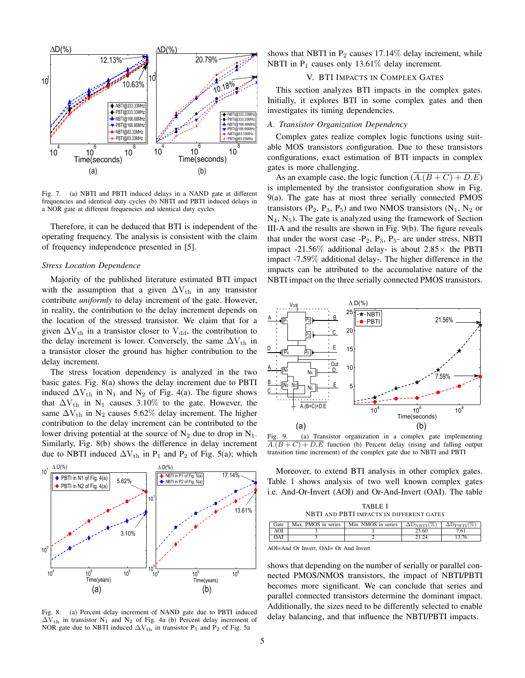

Fig. 7. (a) NBTI and PBTI induced delays in a NAND gate at different frequencies and identical duty cycles (b) NBTI and PBTI induced delays in a NOR gate at different frequencies and identical duty cycles

Therefore, it can be deduced that BTI is independent of the operating frequency. The analysis is consistent with the claim of frequency independence presented in [5].

## *Stress Location Dependence*

Majority of the published literature estimated BTI impact with the assumption that a given  $\Delta V_{th}$  in any transistor contribute *uniformly* to delay increment of the gate. However, in reality, the contribution to the delay increment depends on the location of the stressed transistor. We claim that for a given  $\Delta V_{th}$  in a transistor closer to  $V_{dd}$ , the contribution to the delay increment is lower. Conversely, the same  $\Delta V_{th}$  in a transistor closer the ground has higher contribution to the delay increment.

The stress location dependency is analyzed in the two basic gates. Fig. 8(a) shows the delay increment due to PBTI induced  $\Delta V_{th}$  in N<sub>1</sub> and N<sub>2</sub> of Fig. 4(a). The figure shows that  $\Delta V_{th}$  in N<sub>1</sub> causes 3.10% to the gate. However, the same  $\Delta V_{th}$  in N<sub>2</sub> causes 5.62% delay increment. The higher contribution to the delay increment can be contributed to the lower driving potential at the source of  $N_2$  due to drop in  $N_1$ . Similarly, Fig. 8(b) shows the difference in delay increment due to NBTI induced  $\Delta V_{th}$  in P<sub>1</sub> and P<sub>2</sub> of Fig. 5(a); which



Fig. 8. (a) Percent delay increment of NAND gate due to PBTI induced  $\Delta V_{th}$  in transistor N<sub>1</sub> and N<sub>2</sub> of Fig. 4a (b) Percent delay increment of NOR gate due to NBTI induced  $\Delta V_{th}$  in transistor P<sub>1</sub> and P<sub>2</sub> of Fig. 5a

shows that NBTI in  $P_2$  causes 17.14% delay increment, while NBTI in  $P_1$  causes only 13.61% delay increment.

# V. BTI IMPACTS IN COMPLEX GATES

This section analyzes BTI impacts in the complex gates. Initially, it explores BTI in some complex gates and then investigates its timing dependencies.

# *A. Transistor Organization Dependency*

Complex gates realize complex logic functions using suitable MOS transistors configuration. Due to these transistors configurations, exact estimation of BTI impacts in complex gates is more challenging.

As an example case, the logic function  $(A.(B+C) + D.E)$ is implemented by the transistor configuration show in Fig. 9(a). The gate has at most three serially connected PMOS transistors ( $P_2$ ,  $P_3$ ,  $P_5$ ) and two NMOS transistors ( $N_1$ ,  $N_2$  or  $N_4$ ,  $N_5$ ). The gate is analyzed using the framework of Section III-A and the results are shown in Fig. 9(b). The figure reveals that under the worst case  $-P_2$ ,  $P_3$ ,  $P_5$ - are under stress, NBTI impact -21.56% additional delay- is about  $2.85\times$  the PBTI impact -7.59% additional delay-. The higher difference in the impacts can be attributed to the accumulative nature of the NBTI impact on the three serially connected PMOS transistors.



Fig. 9. (a) Transistor organization in a complex gate implementing  $A.(B+C) + D.E$  function (b) Percent delay (rising and falling output transition time increment) of the complex gate due to NBTI and PBTI

Moreover, to extend BTI analysis in other complex gates. Table 1 shows analysis of two well known complex gates i.e. And-Or-Invert (AOI) and Or-And-Invert (OAI). The table

TABLE I NBTI AND PBTI IMPACTS IN DIFFERENT GATES

| Gate | Max. PMOS in series | Min. NMOS in series | $\Delta D_{\rm NBTI}(\%)$ | $\Delta \mathrm{D}_{\mathrm{PRTI}}(\%)$ |
|------|---------------------|---------------------|---------------------------|-----------------------------------------|
| AOI  |                     |                     | -3.60                     | 7.61                                    |
| OAI  |                     |                     |                           |                                         |
|      |                     |                     |                           |                                         |

AOI=And Or Invert, OAI= Or And Invert

shows that depending on the number of serially or parallel connected PMOS/NMOS transistors, the impact of NBTI/PBTI becomes more significant. We can conclude that series and parallel connected transistors determine the dominant impact. Additionally, the sizes need to be differently selected to enable delay balancing, and that influence the NBTI/PBTI impacts.